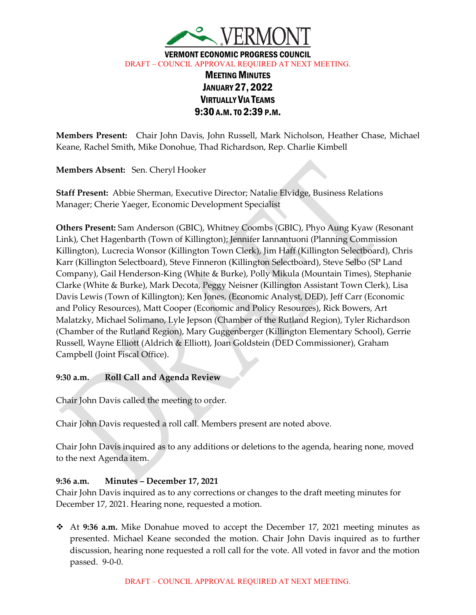

VERMONT ECONOMIC PROGRESS COUNCIL DRAFT – COUNCIL APPROVAL REQUIRED AT NEXT MEETING.

# MEETING MINUTES JANUARY 27, 2022 VIRTUALLY VIA TEAMS 9:30 A.M.TO 2:39 P.M.

**Members Present:** Chair John Davis, John Russell, Mark Nicholson, Heather Chase, Michael Keane, Rachel Smith, Mike Donohue, Thad Richardson, Rep. Charlie Kimbell

**Members Absent:** Sen. Cheryl Hooker

**Staff Present:** Abbie Sherman, Executive Director; Natalie Elvidge, Business Relations Manager; Cherie Yaeger, Economic Development Specialist

**Others Present:** Sam Anderson (GBIC), Whitney Coombs (GBIC), Phyo Aung Kyaw (Resonant Link), Chet Hagenbarth (Town of Killington); Jennifer Iannantuoni (Planning Commission Killington), Lucrecia Wonsor (Killington Town Clerk), Jim Haff (Killington Selectboard), Chris Karr (Killington Selectboard), Steve Finneron (Killington Selectboard), Steve Selbo (SP Land Company), Gail Henderson-King (White & Burke), Polly Mikula (Mountain Times), Stephanie Clarke (White & Burke), Mark Decota, Peggy Neisner (Killington Assistant Town Clerk), Lisa Davis Lewis (Town of Killington); Ken Jones, (Economic Analyst, DED), Jeff Carr (Economic and Policy Resources), Matt Cooper (Economic and Policy Resources), Rick Bowers, Art Malatzky, Michael Solimano, Lyle Jepson (Chamber of the Rutland Region), Tyler Richardson (Chamber of the Rutland Region), Mary Guggenberger (Killington Elementary School), Gerrie Russell, Wayne Elliott (Aldrich & Elliott), Joan Goldstein (DED Commissioner), Graham Campbell (Joint Fiscal Office).

# **9:30 a.m. Roll Call and Agenda Review**

Chair John Davis called the meeting to order.

Chair John Davis requested a roll call. Members present are noted above.

Chair John Davis inquired as to any additions or deletions to the agenda, hearing none, moved to the next Agenda item.

# **9:36 a.m. Minutes – December 17, 2021**

Chair John Davis inquired as to any corrections or changes to the draft meeting minutes for December 17, 2021. Hearing none, requested a motion.

 At **9:36 a.m.** Mike Donahue moved to accept the December 17, 2021 meeting minutes as presented. Michael Keane seconded the motion. Chair John Davis inquired as to further discussion, hearing none requested a roll call for the vote. All voted in favor and the motion passed. 9-0-0.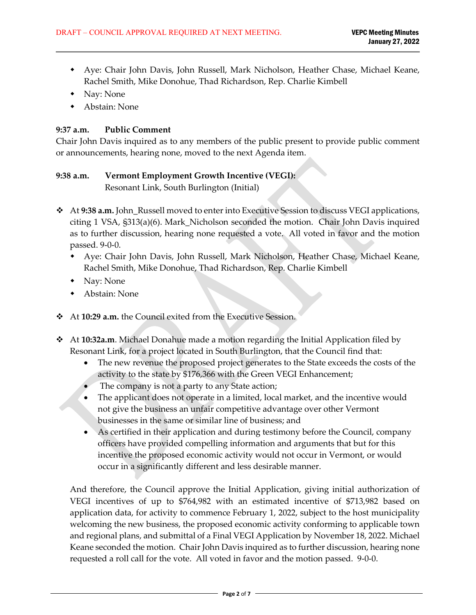- Aye: Chair John Davis, John Russell, Mark Nicholson, Heather Chase, Michael Keane, Rachel Smith, Mike Donohue, Thad Richardson, Rep. Charlie Kimbell
- Nay: None
- Abstain: None

# **9:37 a.m. Public Comment**

Chair John Davis inquired as to any members of the public present to provide public comment or announcements, hearing none, moved to the next Agenda item.

# **9:38 a.m. Vermont Employment Growth Incentive (VEGI):**

Resonant Link, South Burlington (Initial)

- \* At 9:38 a.m. John\_Russell moved to enter into Executive Session to discuss VEGI applications, citing 1 VSA, §313(a)(6). Mark\_Nicholson seconded the motion. Chair John Davis inquired as to further discussion, hearing none requested a vote. All voted in favor and the motion passed. 9-0-0.
	- Aye: Chair John Davis, John Russell, Mark Nicholson, Heather Chase, Michael Keane, Rachel Smith, Mike Donohue, Thad Richardson, Rep. Charlie Kimbell
	- Nay: None
	- Abstain: None
- At **10:29 a.m.** the Council exited from the Executive Session.
- At **10:32a.m**. Michael Donahue made a motion regarding the Initial Application filed by Resonant Link, for a project located in South Burlington, that the Council find that:
	- The new revenue the proposed project generates to the State exceeds the costs of the activity to the state by \$176,366 with the Green VEGI Enhancement;
	- The company is not a party to any State action;
	- The applicant does not operate in a limited, local market, and the incentive would not give the business an unfair competitive advantage over other Vermont businesses in the same or similar line of business; and
	- As certified in their application and during testimony before the Council, company officers have provided compelling information and arguments that but for this incentive the proposed economic activity would not occur in Vermont, or would occur in a significantly different and less desirable manner.

And therefore, the Council approve the Initial Application, giving initial authorization of VEGI incentives of up to \$764,982 with an estimated incentive of \$713,982 based on application data, for activity to commence February 1, 2022, subject to the host municipality welcoming the new business, the proposed economic activity conforming to applicable town and regional plans, and submittal of a Final VEGI Application by November 18, 2022. Michael Keane seconded the motion. Chair John Davis inquired as to further discussion, hearing none requested a roll call for the vote. All voted in favor and the motion passed. 9-0-0.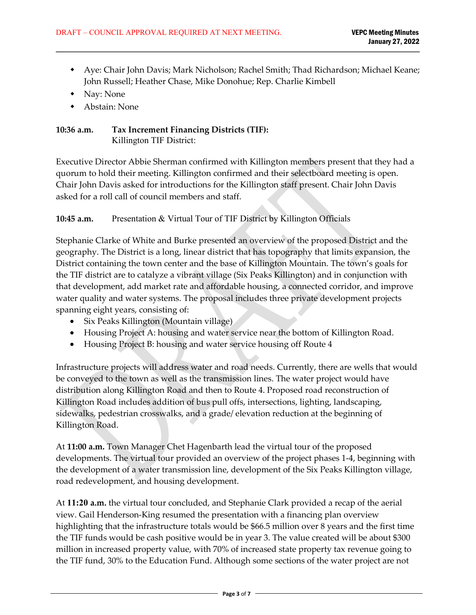- Aye: Chair John Davis; Mark Nicholson; Rachel Smith; Thad Richardson; Michael Keane; John Russell; Heather Chase, Mike Donohue; Rep. Charlie Kimbell
- Nay: None
- Abstain: None

# **10:36 a.m. Tax Increment Financing Districts (TIF):** Killington TIF District:

Executive Director Abbie Sherman confirmed with Killington members present that they had a quorum to hold their meeting. Killington confirmed and their selectboard meeting is open. Chair John Davis asked for introductions for the Killington staff present. Chair John Davis asked for a roll call of council members and staff.

**10:45 a.m.** Presentation & Virtual Tour of TIF District by Killington Officials

Stephanie Clarke of White and Burke presented an overview of the proposed District and the geography. The District is a long, linear district that has topography that limits expansion, the District containing the town center and the base of Killington Mountain. The town's goals for the TIF district are to catalyze a vibrant village (Six Peaks Killington) and in conjunction with that development, add market rate and affordable housing, a connected corridor, and improve water quality and water systems. The proposal includes three private development projects spanning eight years, consisting of:

- Six Peaks Killington (Mountain village)
- Housing Project A: housing and water service near the bottom of Killington Road.
- Housing Project B: housing and water service housing off Route 4

Infrastructure projects will address water and road needs. Currently, there are wells that would be conveyed to the town as well as the transmission lines. The water project would have distribution along Killington Road and then to Route 4. Proposed road reconstruction of Killington Road includes addition of bus pull offs, intersections, lighting, landscaping, sidewalks, pedestrian crosswalks, and a grade/ elevation reduction at the beginning of Killington Road.

At **11:00 a.m.** Town Manager Chet Hagenbarth lead the virtual tour of the proposed developments. The virtual tour provided an overview of the project phases 1-4, beginning with the development of a water transmission line, development of the Six Peaks Killington village, road redevelopment, and housing development.

At **11:20 a.m.** the virtual tour concluded, and Stephanie Clark provided a recap of the aerial view. Gail Henderson-King resumed the presentation with a financing plan overview highlighting that the infrastructure totals would be \$66.5 million over 8 years and the first time the TIF funds would be cash positive would be in year 3. The value created will be about \$300 million in increased property value, with 70% of increased state property tax revenue going to the TIF fund, 30% to the Education Fund. Although some sections of the water project are not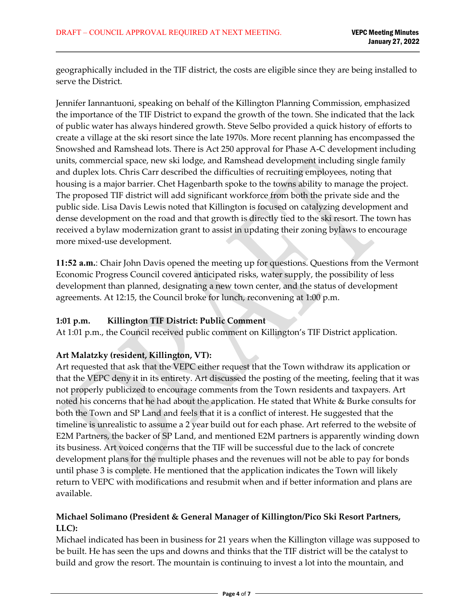geographically included in the TIF district, the costs are eligible since they are being installed to serve the District.

Jennifer Iannantuoni, speaking on behalf of the Killington Planning Commission, emphasized the importance of the TIF District to expand the growth of the town. She indicated that the lack of public water has always hindered growth. Steve Selbo provided a quick history of efforts to create a village at the ski resort since the late 1970s. More recent planning has encompassed the Snowshed and Ramshead lots. There is Act 250 approval for Phase A-C development including units, commercial space, new ski lodge, and Ramshead development including single family and duplex lots. Chris Carr described the difficulties of recruiting employees, noting that housing is a major barrier. Chet Hagenbarth spoke to the towns ability to manage the project. The proposed TIF district will add significant workforce from both the private side and the public side. Lisa Davis Lewis noted that Killington is focused on catalyzing development and dense development on the road and that growth is directly tied to the ski resort. The town has received a bylaw modernization grant to assist in updating their zoning bylaws to encourage more mixed-use development.

**11:52 a.m.**: Chair John Davis opened the meeting up for questions. Questions from the Vermont Economic Progress Council covered anticipated risks, water supply, the possibility of less development than planned, designating a new town center, and the status of development agreements. At 12:15, the Council broke for lunch, reconvening at 1:00 p.m.

#### **1:01 p.m. Killington TIF District: Public Comment**

At 1:01 p.m., the Council received public comment on Killington's TIF District application.

# **Art Malatzky (resident, Killington, VT):**

Art requested that ask that the VEPC either request that the Town withdraw its application or that the VEPC deny it in its entirety. Art discussed the posting of the meeting, feeling that it was not properly publicized to encourage comments from the Town residents and taxpayers. Art noted his concerns that he had about the application. He stated that White & Burke consults for both the Town and SP Land and feels that it is a conflict of interest. He suggested that the timeline is unrealistic to assume a 2 year build out for each phase. Art referred to the website of E2M Partners, the backer of SP Land, and mentioned E2M partners is apparently winding down its business. Art voiced concerns that the TIF will be successful due to the lack of concrete development plans for the multiple phases and the revenues will not be able to pay for bonds until phase 3 is complete. He mentioned that the application indicates the Town will likely return to VEPC with modifications and resubmit when and if better information and plans are available.

# **Michael Solimano (President & General Manager of Killington/Pico Ski Resort Partners, LLC):**

Michael indicated has been in business for 21 years when the Killington village was supposed to be built. He has seen the ups and downs and thinks that the TIF district will be the catalyst to build and grow the resort. The mountain is continuing to invest a lot into the mountain, and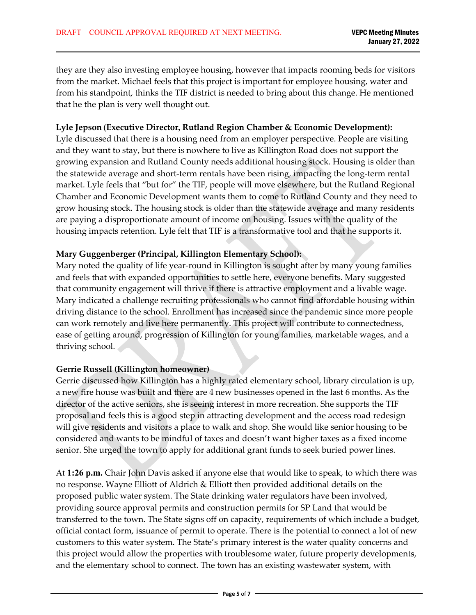they are they also investing employee housing, however that impacts rooming beds for visitors from the market. Michael feels that this project is important for employee housing, water and from his standpoint, thinks the TIF district is needed to bring about this change. He mentioned that he the plan is very well thought out.

#### **Lyle Jepson (Executive Director, Rutland Region Chamber & Economic Development):**

Lyle discussed that there is a housing need from an employer perspective. People are visiting and they want to stay, but there is nowhere to live as Killington Road does not support the growing expansion and Rutland County needs additional housing stock. Housing is older than the statewide average and short-term rentals have been rising, impacting the long-term rental market. Lyle feels that "but for" the TIF, people will move elsewhere, but the Rutland Regional Chamber and Economic Development wants them to come to Rutland County and they need to grow housing stock. The housing stock is older than the statewide average and many residents are paying a disproportionate amount of income on housing. Issues with the quality of the housing impacts retention. Lyle felt that TIF is a transformative tool and that he supports it.

#### **Mary Guggenberger (Principal, Killington Elementary School):**

Mary noted the quality of life year-round in Killington is sought after by many young families and feels that with expanded opportunities to settle here, everyone benefits. Mary suggested that community engagement will thrive if there is attractive employment and a livable wage. Mary indicated a challenge recruiting professionals who cannot find affordable housing within driving distance to the school. Enrollment has increased since the pandemic since more people can work remotely and live here permanently. This project will contribute to connectedness, ease of getting around, progression of Killington for young families, marketable wages, and a thriving school.

### **Gerrie Russell (Killington homeowner)**

Gerrie discussed how Killington has a highly rated elementary school, library circulation is up, a new fire house was built and there are 4 new businesses opened in the last 6 months. As the director of the active seniors, she is seeing interest in more recreation. She supports the TIF proposal and feels this is a good step in attracting development and the access road redesign will give residents and visitors a place to walk and shop. She would like senior housing to be considered and wants to be mindful of taxes and doesn't want higher taxes as a fixed income senior. She urged the town to apply for additional grant funds to seek buried power lines.

At **1:26 p.m.** Chair John Davis asked if anyone else that would like to speak, to which there was no response. Wayne Elliott of Aldrich & Elliott then provided additional details on the proposed public water system. The State drinking water regulators have been involved, providing source approval permits and construction permits for SP Land that would be transferred to the town. The State signs off on capacity, requirements of which include a budget, official contact form, issuance of permit to operate. There is the potential to connect a lot of new customers to this water system. The State's primary interest is the water quality concerns and this project would allow the properties with troublesome water, future property developments, and the elementary school to connect. The town has an existing wastewater system, with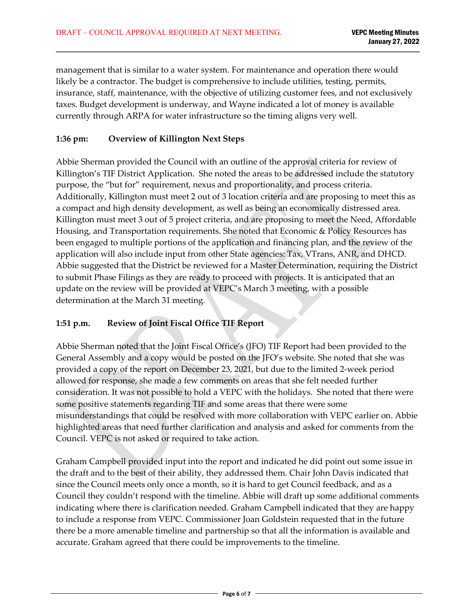management that is similar to a water system. For maintenance and operation there would likely be a contractor. The budget is comprehensive to include utilities, testing, permits, insurance, staff, maintenance, with the objective of utilizing customer fees, and not exclusively taxes. Budget development is underway, and Wayne indicated a lot of money is available currently through ARPA for water infrastructure so the timing aligns very well.

### **1:36 pm: Overview of Killington Next Steps**

Abbie Sherman provided the Council with an outline of the approval criteria for review of Killington's TIF District Application. She noted the areas to be addressed include the statutory purpose, the "but for" requirement, nexus and proportionality, and process criteria. Additionally, Killington must meet 2 out of 3 location criteria and are proposing to meet this as a compact and high density development, as well as being an economically distressed area. Killington must meet 3 out of 5 project criteria, and are proposing to meet the Need, Affordable Housing, and Transportation requirements. She noted that Economic & Policy Resources has been engaged to multiple portions of the application and financing plan, and the review of the application will also include input from other State agencies: Tax, VTrans, ANR, and DHCD. Abbie suggested that the District be reviewed for a Master Determination, requiring the District to submit Phase Filings as they are ready to proceed with projects. It is anticipated that an update on the review will be provided at VEPC's March 3 meeting, with a possible determination at the March 31 meeting.

# **1:51 p.m. Review of Joint Fiscal Office TIF Report**

Abbie Sherman noted that the Joint Fiscal Office's (JFO) TIF Report had been provided to the General Assembly and a copy would be posted on the JFO's website. She noted that she was provided a copy of the report on December 23, 2021, but due to the limited 2-week period allowed for response, she made a few comments on areas that she felt needed further consideration. It was not possible to hold a VEPC with the holidays. She noted that there were some positive statements regarding TIF and some areas that there were some misunderstandings that could be resolved with more collaboration with VEPC earlier on. Abbie highlighted areas that need further clarification and analysis and asked for comments from the Council. VEPC is not asked or required to take action.

Graham Campbell provided input into the report and indicated he did point out some issue in the draft and to the best of their ability, they addressed them. Chair John Davis indicated that since the Council meets only once a month, so it is hard to get Council feedback, and as a Council they couldn't respond with the timeline. Abbie will draft up some additional comments indicating where there is clarification needed. Graham Campbell indicated that they are happy to include a response from VEPC. Commissioner Joan Goldstein requested that in the future there be a more amenable timeline and partnership so that all the information is available and accurate. Graham agreed that there could be improvements to the timeline.